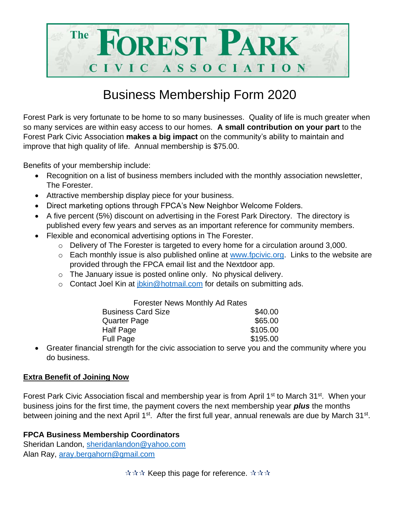

## Business Membership Form 2020

Forest Park is very fortunate to be home to so many businesses. Quality of life is much greater when so many services are within easy access to our homes. **A small contribution on your part** to the Forest Park Civic Association **makes a big impact** on the community's ability to maintain and improve that high quality of life. Annual membership is \$75.00.

Benefits of your membership include:

- Recognition on a list of business members included with the monthly association newsletter, The Forester.
- Attractive membership display piece for your business.
- Direct marketing options through FPCA's New Neighbor Welcome Folders.
- A five percent (5%) discount on advertising in the Forest Park Directory. The directory is published every few years and serves as an important reference for community members.
- Flexible and economical advertising options in The Forester.
	- o Delivery of The Forester is targeted to every home for a circulation around 3,000.
	- $\circ$  Each monthly issue is also published online at [www.fpcivic.org.](http://www.fpcivic.org/) Links to the website are provided through the FPCA email list and the Nextdoor app.
	- o The January issue is posted online only. No physical delivery.
	- $\circ$  Contact Joel Kin at jokin @hotmail.com for details on submitting ads.

| <b>Forester News Monthly Ad Rates</b>                                                                                         |          |
|-------------------------------------------------------------------------------------------------------------------------------|----------|
| <b>Business Card Size</b>                                                                                                     | \$40.00  |
| <b>Quarter Page</b>                                                                                                           | \$65.00  |
| <b>Half Page</b>                                                                                                              | \$105.00 |
| <b>Full Page</b>                                                                                                              | \$195.00 |
| $\mathbf{r}$ and $\mathbf{r}$ and $\mathbf{r}$ are the set of $\mathbf{r}$ and $\mathbf{r}$ and $\mathbf{r}$ and $\mathbf{r}$ |          |

• Greater financial strength for the civic association to serve you and the community where you do business.

## **Extra Benefit of Joining Now**

Forest Park Civic Association fiscal and membership year is from April 1<sup>st</sup> to March 31<sup>st</sup>. When your business joins for the first time, the payment covers the next membership year *plus* the months between joining and the next April 1<sup>st</sup>. After the first full year, annual renewals are due by March 31<sup>st</sup>.

## **FPCA Business Membership Coordinators**

Sheridan Landon, [sheridanlandon@yahoo.com](mailto:sheridanlandon@yahoo.com) Alan Ray, [aray.bergahorn@gmail.com](mailto:aray.bergahorn@gmail.com)

 $\forall x \forall x$  Keep this page for reference.  $\forall x \forall x$